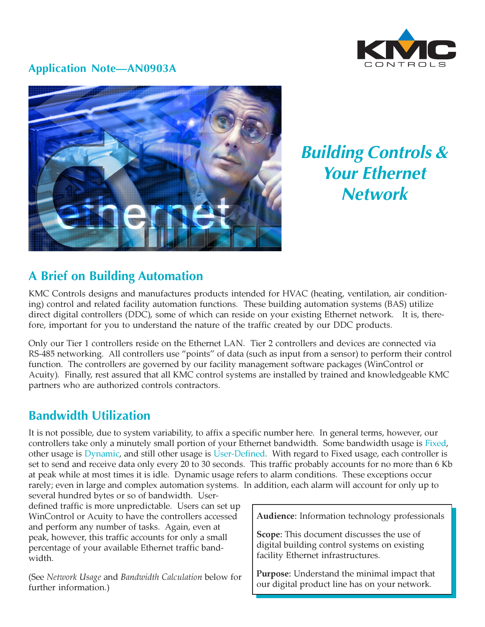

## **Application Note—AN0903A**



**Building Controls & Your Ethernet Network**

# **A Brief on Building Automation**

KMC Controls designs and manufactures products intended for HVAC (heating, ventilation, air conditioning) control and related facility automation functions. These building automation systems (BAS) utilize direct digital controllers (DDC), some of which can reside on your existing Ethernet network. It is, therefore, important for you to understand the nature of the traffic created by our DDC products.

Only our Tier 1 controllers reside on the Ethernet LAN. Tier 2 controllers and devices are connected via RS-485 networking. All controllers use "points" of data (such as input from a sensor) to perform their control function. The controllers are governed by our facility management software packages (WinControl or Acuity). Finally, rest assured that all KMC control systems are installed by trained and knowledgeable KMC partners who are authorized controls contractors.

## **Bandwidth Utilization**

It is not possible, due to system variability, to affix a specific number here. In general terms, however, our controllers take only a minutely small portion of your Ethernet bandwidth. Some bandwidth usage is Fixed, other usage is Dynamic, and still other usage is User-Defined. With regard to Fixed usage, each controller is set to send and receive data only every 20 to 30 seconds. This traffic probably accounts for no more than 6 Kb at peak while at most times it is idle. Dynamic usage refers to alarm conditions. These exceptions occur rarely; even in large and complex automation systems. In addition, each alarm will account for only up to

several hundred bytes or so of bandwidth. Userdefined traffic is more unpredictable. Users can set up WinControl or Acuity to have the controllers accessed and perform any number of tasks. Again, even at peak, however, this traffic accounts for only a small percentage of your available Ethernet traffic bandwidth.

(See Network Usage and Bandwidth Calculation below for further information.)

Audience: Information technology professionals

Scope: This document discusses the use of digital building control systems on existing facility Ethernet infrastructures.

Purpose: Understand the minimal impact that our digital product line has on your network.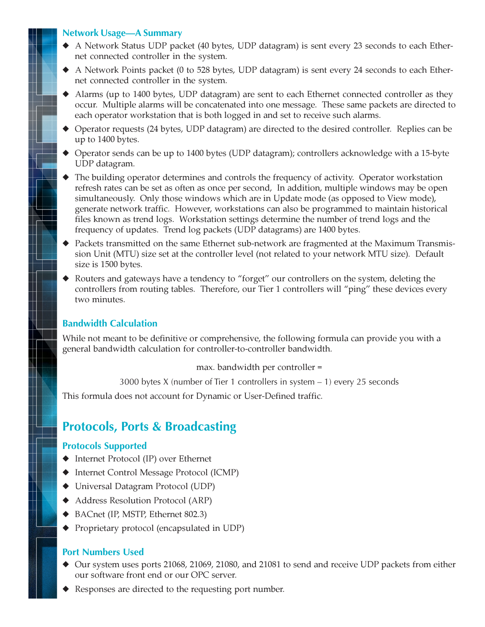### **Network Usage—A Summary**

- ◆ A Network Status UDP packet (40 bytes, UDP datagram) is sent every 23 seconds to each Ethernet connected controller in the system.
- ◆ A Network Points packet (0 to 528 bytes, UDP datagram) is sent every 24 seconds to each Ethernet connected controller in the system.
- ◆ Alarms (up to 1400 bytes, UDP datagram) are sent to each Ethernet connected controller as they occur. Multiple alarms will be concatenated into one message. These same packets are directed to each operator workstation that is both logged in and set to receive such alarms.
- ◆ Operator requests (24 bytes, UDP datagram) are directed to the desired controller. Replies can be up to 1400 bytes.
- ◆ Operator sends can be up to 1400 bytes (UDP datagram); controllers acknowledge with a 15-byte UDP datagram.
- ◆ The building operator determines and controls the frequency of activity. Operator workstation refresh rates can be set as often as once per second, In addition, multiple windows may be open simultaneously. Only those windows which are in Update mode (as opposed to View mode), generate network traffic. However, workstations can also be programmed to maintain historical files known as trend logs. Workstation settings determine the number of trend logs and the frequency of updates. Trend log packets (UDP datagrams) are 1400 bytes.
- ◆ Packets transmitted on the same Ethernet sub-network are fragmented at the Maximum Transmission Unit (MTU) size set at the controller level (not related to your network MTU size). Default size is 1500 bytes.
- ◆ Routers and gateways have a tendency to "forget" our controllers on the system, deleting the controllers from routing tables. Therefore, our Tier 1 controllers will "ping" these devices every two minutes.

### **Bandwidth Calculation**

While not meant to be definitive or comprehensive, the following formula can provide you with a general bandwidth calculation for controller-to-controller bandwidth.

max. bandwidth per controller =

3000 bytes X (number of Tier 1 controllers in system – 1) every 25 seconds

This formula does not account for Dynamic or User-Defined traffic.

# **Protocols, Ports & Broadcasting**

#### **Protocols Supported**

- ◆ Internet Protocol (IP) over Ethernet
- ◆ Internet Control Message Protocol (ICMP)
- ◆ Universal Datagram Protocol (UDP)
- ◆ Address Resolution Protocol (ARP)
- ◆ BACnet (IP, MSTP, Ethernet 802.3)
- ◆ Proprietary protocol (encapsulated in UDP)

#### **Port Numbers Used**

- ◆ Our system uses ports 21068, 21069, 21080, and 21081 to send and receive UDP packets from either our software front end or our OPC server.
- Responses are directed to the requesting port number.